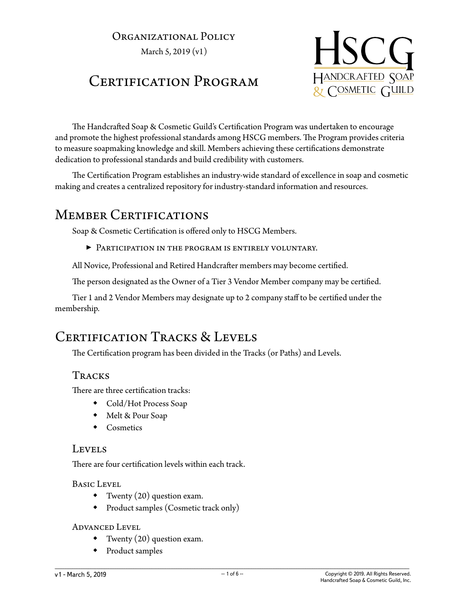## Organizational Policy

March 5, 2019 (v1)

# CERTIFICATION PROGRAM



The Handcrafted Soap & Cosmetic Guild's Certification Program was undertaken to encourage and promote the highest professional standards among HSCG members. The Program provides criteria to measure soapmaking knowledge and skill. Members achieving these certifications demonstrate dedication to professional standards and build credibility with customers.

The Certification Program establishes an industry-wide standard of excellence in soap and cosmetic making and creates a centralized repository for industry-standard information and resources.

## MEMBER CERTIFICATIONS

Soap & Cosmetic Certification is offered only to HSCG Members.

▶ Participation in the program is entirely voluntary.

All Novice, Professional and Retired Handcrafter members may become certified.

The person designated as the Owner of a Tier 3 Vendor Member company may be certified.

Tier 1 and 2 Vendor Members may designate up to 2 company staff to be certified under the membership.

# CERTIFICATION TRACKS & LEVELS

The Certification program has been divided in the Tracks (or Paths) and Levels.

### **TRACKS**

There are three certification tracks:

- Cold/Hot Process Soap
- Melt & Pour Soap
- Cosmetics

#### Levels

There are four certification levels within each track.

#### Basic Level

- Twenty  $(20)$  question exam.
- Product samples (Cosmetic track only)

#### Advanced Level

- Twenty (20) question exam.
- Product samples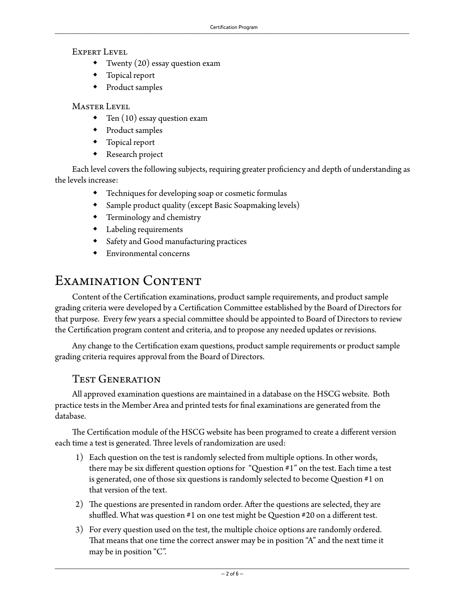#### Expert Level

- Twenty (20) essay question exam
- Topical report
- Product samples

Master Level

- Ten (10) essay question exam
- Product samples
- Topical report
- Research project

Each level covers the following subjects, requiring greater proficiency and depth of understanding as the levels increase:

- Techniques for developing soap or cosmetic formulas
- Sample product quality (except Basic Soapmaking levels)
- Terminology and chemistry
- Labeling requirements
- Safety and Good manufacturing practices
- Environmental concerns

# Examination Content

Content of the Certification examinations, product sample requirements, and product sample grading criteria were developed by a Certification Committee established by the Board of Directors for that purpose. Every few years a special committee should be appointed to Board of Directors to review the Certification program content and criteria, and to propose any needed updates or revisions.

Any change to the Certification exam questions, product sample requirements or product sample grading criteria requires approval from the Board of Directors.

### Test Generation

All approved examination questions are maintained in a database on the HSCG website. Both practice tests in the Member Area and printed tests for final examinations are generated from the database.

The Certification module of the HSCG website has been programed to create a different version each time a test is generated. Three levels of randomization are used:

- 1) Each question on the test is randomly selected from multiple options. In other words, there may be six different question options for "Question #1" on the test. Each time a test is generated, one of those six questions is randomly selected to become Question #1 on that version of the text.
- 2) The questions are presented in random order. After the questions are selected, they are shuffled. What was question #1 on one test might be Question #20 on a different test.
- 3) For every question used on the test, the multiple choice options are randomly ordered. That means that one time the correct answer may be in position "A" and the next time it may be in position "C".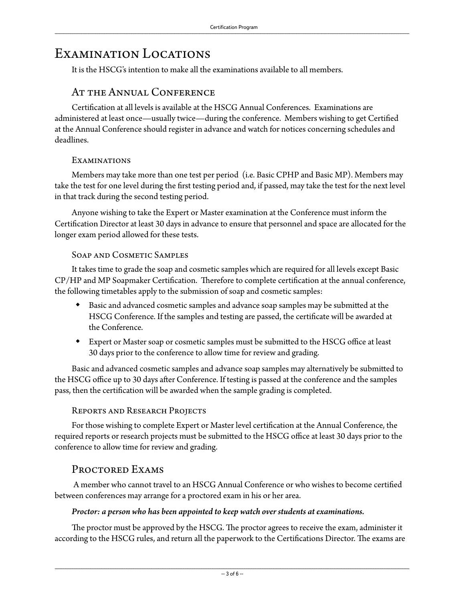## Examination Locations

It is the HSCG's intention to make all the examinations available to all members.

### AT THE ANNUAL CONFERENCE

Certification at all levels is available at the HSCG Annual Conferences. Examinations are administered at least once—usually twice—during the conference. Members wishing to get Certified at the Annual Conference should register in advance and watch for notices concerning schedules and deadlines.

#### Examinations

Members may take more than one test per period (i.e. Basic CPHP and Basic MP). Members may take the test for one level during the first testing period and, if passed, may take the test for the next level in that track during the second testing period.

Anyone wishing to take the Expert or Master examination at the Conference must inform the Certification Director at least 30 days in advance to ensure that personnel and space are allocated for the longer exam period allowed for these tests.

#### Soap and Cosmetic Samples

It takes time to grade the soap and cosmetic samples which are required for all levels except Basic CP/HP and MP Soapmaker Certification. Therefore to complete certification at the annual conference, the following timetables apply to the submission of soap and cosmetic samples:

- Basic and advanced cosmetic samples and advance soap samples may be submitted at the HSCG Conference. If the samples and testing are passed, the certificate will be awarded at the Conference.
- Expert or Master soap or cosmetic samples must be submitted to the HSCG office at least 30 days prior to the conference to allow time for review and grading.

Basic and advanced cosmetic samples and advance soap samples may alternatively be submitted to the HSCG office up to 30 days after Conference. If testing is passed at the conference and the samples pass, then the certification will be awarded when the sample grading is completed.

#### Reports and Research Projects

For those wishing to complete Expert or Master level certification at the Annual Conference, the required reports or research projects must be submitted to the HSCG office at least 30 days prior to the conference to allow time for review and grading.

### PROCTORED EXAMS

 A member who cannot travel to an HSCG Annual Conference or who wishes to become certified between conferences may arrange for a proctored exam in his or her area.

#### *Proctor: a person who has been appointed to keep watch over students at examinations.*

The proctor must be approved by the HSCG. The proctor agrees to receive the exam, administer it according to the HSCG rules, and return all the paperwork to the Certifications Director. The exams are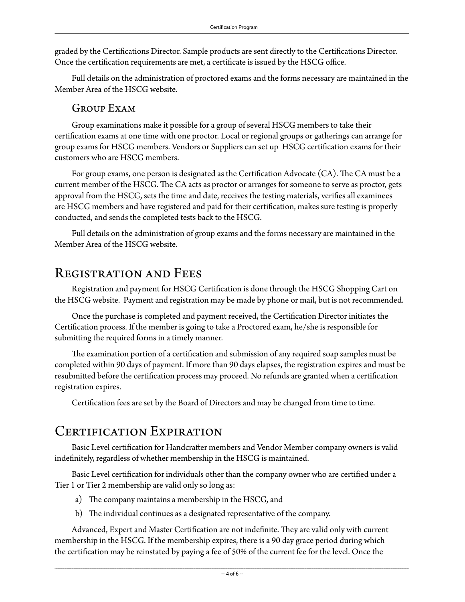graded by the Certifications Director. Sample products are sent directly to the Certifications Director. Once the certification requirements are met, a certificate is issued by the HSCG office.

Full details on the administration of proctored exams and the forms necessary are maintained in the Member Area of the HSCG website.

#### Group Exam

Group examinations make it possible for a group of several HSCG members to take their certification exams at one time with one proctor. Local or regional groups or gatherings can arrange for group exams for HSCG members. Vendors or Suppliers can set up HSCG certification exams for their customers who are HSCG members.

For group exams, one person is designated as the Certification Advocate (CA). The CA must be a current member of the HSCG. The CA acts as proctor or arranges for someone to serve as proctor, gets approval from the HSCG, sets the time and date, receives the testing materials, verifies all examinees are HSCG members and have registered and paid for their certification, makes sure testing is properly conducted, and sends the completed tests back to the HSCG.

Full details on the administration of group exams and the forms necessary are maintained in the Member Area of the HSCG website.

## Registration and Fees

Registration and payment for HSCG Certification is done through the HSCG Shopping Cart on the HSCG website. Payment and registration may be made by phone or mail, but is not recommended.

Once the purchase is completed and payment received, the Certification Director initiates the Certification process. If the member is going to take a Proctored exam, he/she is responsible for submitting the required forms in a timely manner.

The examination portion of a certification and submission of any required soap samples must be completed within 90 days of payment. If more than 90 days elapses, the registration expires and must be resubmitted before the certification process may proceed. No refunds are granted when a certification registration expires.

Certification fees are set by the Board of Directors and may be changed from time to time.

## CERTIFICATION EXPIRATION

Basic Level certification for Handcrafter members and Vendor Member company owners is valid indefinitely, regardless of whether membership in the HSCG is maintained.

Basic Level certification for individuals other than the company owner who are certified under a Tier 1 or Tier 2 membership are valid only so long as:

- a) The company maintains a membership in the HSCG, and
- b) The individual continues as a designated representative of the company.

Advanced, Expert and Master Certification are not indefinite. They are valid only with current membership in the HSCG. If the membership expires, there is a 90 day grace period during which the certification may be reinstated by paying a fee of 50% of the current fee for the level. Once the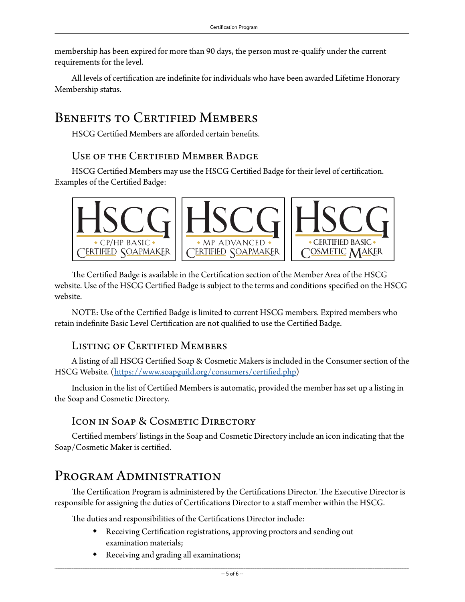membership has been expired for more than 90 days, the person must re-qualify under the current requirements for the level.

All levels of certification are indefinite for individuals who have been awarded Lifetime Honorary Membership status.

# BENEFITS TO CERTIFIED MEMBERS

HSCG Certified Members are afforded certain benefits.

### Use of the Certified Member Badge

HSCG Certified Members may use the HSCG Certified Badge for their level of certification. Examples of the Certified Badge:



The Certified Badge is available in the Certification section of the Member Area of the HSCG website. Use of the HSCG Certified Badge is subject to the terms and conditions specified on the HSCG website.

NOTE: Use of the Certified Badge is limited to current HSCG members. Expired members who retain indefinite Basic Level Certification are not qualified to use the Certified Badge.

### Listing of Certified Members

A listing of all HSCG Certified Soap & Cosmetic Makers is included in the Consumer section of the HSCG Website. (https://www.soapguild.org/consumers/certified.php)

Inclusion in the list of Certified Members is automatic, provided the member has set up a listing in the Soap and Cosmetic Directory.

### Icon in Soap & Cosmetic Directory

Certified members' listings in the Soap and Cosmetic Directory include an icon indicating that the Soap/Cosmetic Maker is certified.

## Program Administration

The Certification Program is administered by the Certifications Director. The Executive Director is responsible for assigning the duties of Certifications Director to a staff member within the HSCG.

The duties and responsibilities of the Certifications Director include:

- Receiving Certification registrations, approving proctors and sending out examination materials;
- Receiving and grading all examinations;